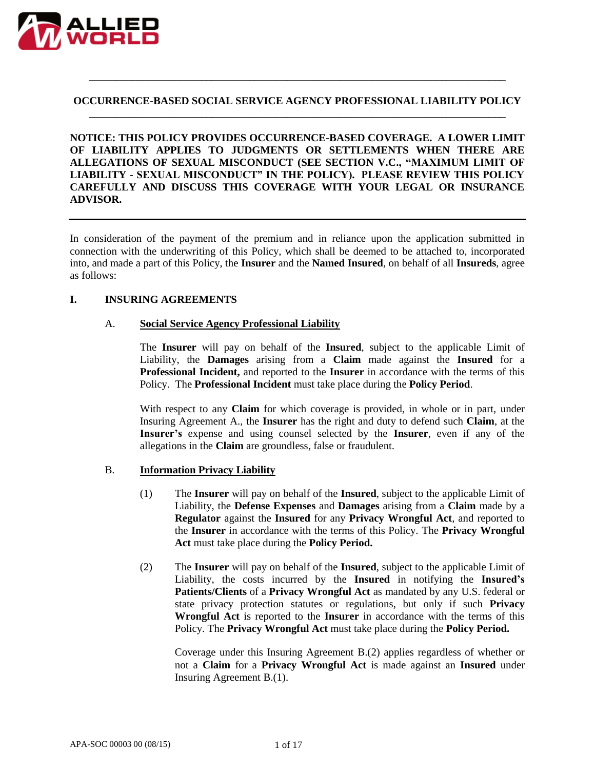

#### **OCCURRENCE-BASED SOCIAL SERVICE AGENCY PROFESSIONAL LIABILITY POLICY \_\_\_\_\_\_\_\_\_\_\_\_\_\_\_\_\_\_\_\_\_\_\_\_\_\_\_\_\_\_\_\_\_\_\_\_\_\_\_\_\_\_\_\_\_\_\_\_\_\_\_\_\_\_\_\_\_\_\_\_\_\_\_\_\_\_\_\_\_\_\_\_\_\_\_\_\_\_**

**\_\_\_\_\_\_\_\_\_\_\_\_\_\_\_\_\_\_\_\_\_\_\_\_\_\_\_\_\_\_\_\_\_\_\_\_\_\_\_\_\_\_\_\_\_\_\_\_\_\_\_\_\_\_\_\_\_\_\_\_\_\_\_\_\_\_\_\_\_\_\_\_\_\_\_\_\_\_**

**NOTICE: THIS POLICY PROVIDES OCCURRENCE-BASED COVERAGE. A LOWER LIMIT OF LIABILITY APPLIES TO JUDGMENTS OR SETTLEMENTS WHEN THERE ARE ALLEGATIONS OF SEXUAL MISCONDUCT (SEE SECTION V.C., "MAXIMUM LIMIT OF LIABILITY - SEXUAL MISCONDUCT" IN THE POLICY). PLEASE REVIEW THIS POLICY CAREFULLY AND DISCUSS THIS COVERAGE WITH YOUR LEGAL OR INSURANCE ADVISOR.**

In consideration of the payment of the premium and in reliance upon the application submitted in connection with the underwriting of this Policy, which shall be deemed to be attached to, incorporated into, and made a part of this Policy, the **Insurer** and the **Named Insured**, on behalf of all **Insureds**, agree as follows:

#### **I. INSURING AGREEMENTS**

#### A. **Social Service Agency Professional Liability**

The **Insurer** will pay on behalf of the **Insured**, subject to the applicable Limit of Liability, the **Damages** arising from a **Claim** made against the **Insured** for a **Professional Incident,** and reported to the **Insurer** in accordance with the terms of this Policy. The **Professional Incident** must take place during the **Policy Period**.

With respect to any **Claim** for which coverage is provided, in whole or in part, under Insuring Agreement A., the **Insurer** has the right and duty to defend such **Claim**, at the **Insurer's** expense and using counsel selected by the **Insurer**, even if any of the allegations in the **Claim** are groundless, false or fraudulent.

#### B. **Information Privacy Liability**

- (1) The **Insurer** will pay on behalf of the **Insured**, subject to the applicable Limit of Liability, the **Defense Expenses** and **Damages** arising from a **Claim** made by a **Regulator** against the **Insured** for any **Privacy Wrongful Act**, and reported to the **Insurer** in accordance with the terms of this Policy. The **Privacy Wrongful Act** must take place during the **Policy Period.**
- (2) The **Insurer** will pay on behalf of the **Insured**, subject to the applicable Limit of Liability, the costs incurred by the **Insured** in notifying the **Insured's Patients/Clients** of a **Privacy Wrongful Act** as mandated by any U.S. federal or state privacy protection statutes or regulations, but only if such **Privacy Wrongful Act** is reported to the **Insurer** in accordance with the terms of this Policy. The **Privacy Wrongful Act** must take place during the **Policy Period.**

Coverage under this Insuring Agreement B.(2) applies regardless of whether or not a **Claim** for a **Privacy Wrongful Act** is made against an **Insured** under Insuring Agreement B.(1).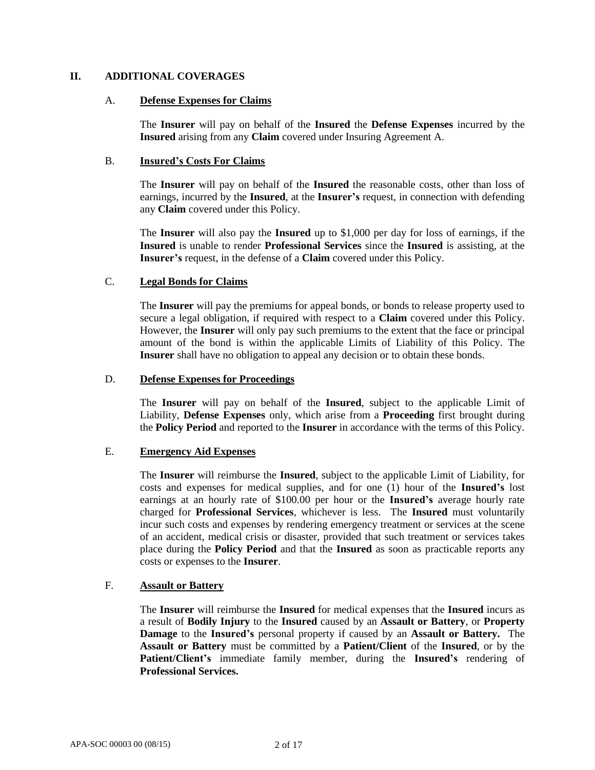# **II. ADDITIONAL COVERAGES**

#### A. **Defense Expenses for Claims**

The **Insurer** will pay on behalf of the **Insured** the **Defense Expenses** incurred by the **Insured** arising from any **Claim** covered under Insuring Agreement A.

# B. **Insured's Costs For Claims**

The **Insurer** will pay on behalf of the **Insured** the reasonable costs, other than loss of earnings, incurred by the **Insured**, at the **Insurer's** request, in connection with defending any **Claim** covered under this Policy.

The **Insurer** will also pay the **Insured** up to \$1,000 per day for loss of earnings, if the **Insured** is unable to render **Professional Services** since the **Insured** is assisting, at the **Insurer's** request, in the defense of a **Claim** covered under this Policy.

# C. **Legal Bonds for Claims**

The **Insurer** will pay the premiums for appeal bonds, or bonds to release property used to secure a legal obligation, if required with respect to a **Claim** covered under this Policy. However, the **Insurer** will only pay such premiums to the extent that the face or principal amount of the bond is within the applicable Limits of Liability of this Policy. The **Insurer** shall have no obligation to appeal any decision or to obtain these bonds.

#### D. **Defense Expenses for Proceedings**

The **Insurer** will pay on behalf of the **Insured**, subject to the applicable Limit of Liability, **Defense Expenses** only, which arise from a **Proceeding** first brought during the **Policy Period** and reported to the **Insurer** in accordance with the terms of this Policy.

# E. **Emergency Aid Expenses**

The **Insurer** will reimburse the **Insured**, subject to the applicable Limit of Liability, for costs and expenses for medical supplies, and for one (1) hour of the **Insured's** lost earnings at an hourly rate of \$100.00 per hour or the **Insured's** average hourly rate charged for **Professional Services**, whichever is less. The **Insured** must voluntarily incur such costs and expenses by rendering emergency treatment or services at the scene of an accident, medical crisis or disaster, provided that such treatment or services takes place during the **Policy Period** and that the **Insured** as soon as practicable reports any costs or expenses to the **Insurer**.

# F. **Assault or Battery**

The **Insurer** will reimburse the **Insured** for medical expenses that the **Insured** incurs as a result of **Bodily Injury** to the **Insured** caused by an **Assault or Battery**, or **Property Damage** to the **Insured's** personal property if caused by an **Assault or Battery.** The **Assault or Battery** must be committed by a **Patient/Client** of the **Insured**, or by the **Patient/Client's** immediate family member, during the **Insured's** rendering of **Professional Services.**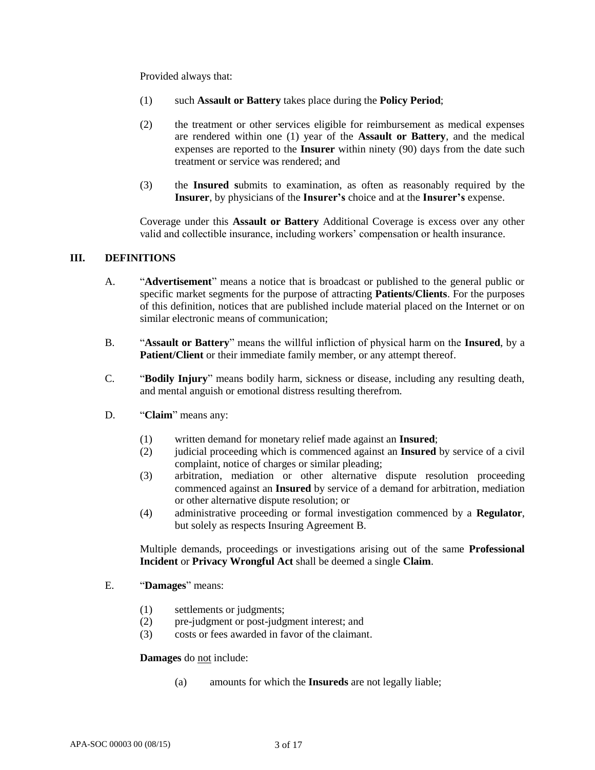Provided always that:

- (1) such **Assault or Battery** takes place during the **Policy Period**;
- (2) the treatment or other services eligible for reimbursement as medical expenses are rendered within one (1) year of the **Assault or Battery**, and the medical expenses are reported to the **Insurer** within ninety (90) days from the date such treatment or service was rendered; and
- (3) the **Insured s**ubmits to examination, as often as reasonably required by the **Insurer**, by physicians of the **Insurer's** choice and at the **Insurer's** expense.

Coverage under this **Assault or Battery** Additional Coverage is excess over any other valid and collectible insurance, including workers' compensation or health insurance.

# **III. DEFINITIONS**

- A. "**Advertisement**" means a notice that is broadcast or published to the general public or specific market segments for the purpose of attracting **Patients/Clients**. For the purposes of this definition, notices that are published include material placed on the Internet or on similar electronic means of communication;
- B. "**Assault or Battery**" means the willful infliction of physical harm on the **Insured**, by a **Patient/Client** or their immediate family member, or any attempt thereof.
- C. "**Bodily Injury**" means bodily harm, sickness or disease, including any resulting death, and mental anguish or emotional distress resulting therefrom.
- D. "**Claim**" means any:
	- (1) written demand for monetary relief made against an **Insured**;
	- (2) judicial proceeding which is commenced against an **Insured** by service of a civil complaint, notice of charges or similar pleading;
	- (3) arbitration, mediation or other alternative dispute resolution proceeding commenced against an **Insured** by service of a demand for arbitration, mediation or other alternative dispute resolution; or
	- (4) administrative proceeding or formal investigation commenced by a **Regulator**, but solely as respects Insuring Agreement B.

Multiple demands, proceedings or investigations arising out of the same **Professional Incident** or **Privacy Wrongful Act** shall be deemed a single **Claim**.

- E. "**Damages**" means:
	- (1) settlements or judgments;
	- (2) pre-judgment or post-judgment interest; and
	- (3) costs or fees awarded in favor of the claimant.

#### **Damages** do not include:

(a) amounts for which the **Insureds** are not legally liable;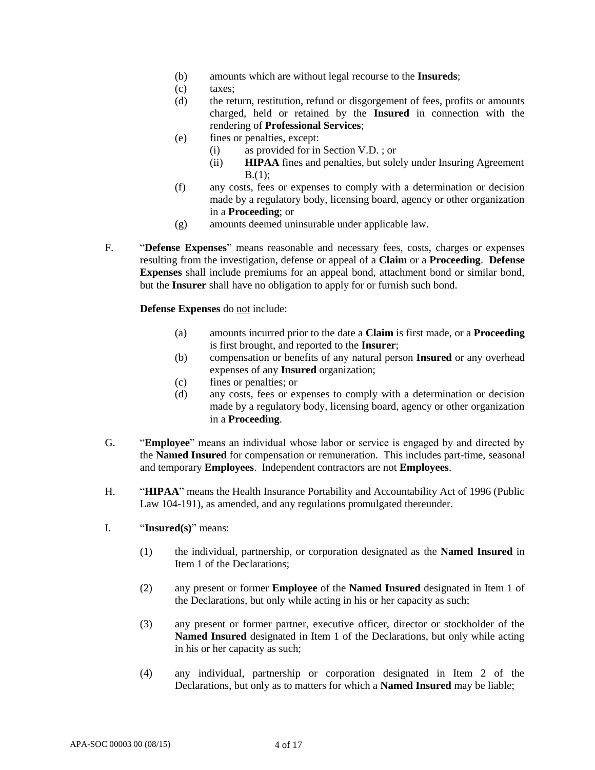- (b) amounts which are without legal recourse to the **Insureds**;
- (c) taxes;
- (d) the return, restitution, refund or disgorgement of fees, profits or amounts charged, held or retained by the **Insured** in connection with the rendering of **Professional Services**;
- (e) fines or penalties, except:
	- (i) as provided for in Section V.D. ; or
	- (ii) **HIPAA** fines and penalties, but solely under Insuring Agreement B.(1);
- (f) any costs, fees or expenses to comply with a determination or decision made by a regulatory body, licensing board, agency or other organization in a **Proceeding**; or
- (g) amounts deemed uninsurable under applicable law.
- F. "**Defense Expenses**" means reasonable and necessary fees, costs, charges or expenses resulting from the investigation, defense or appeal of a **Claim** or a **Proceeding**. **Defense Expenses** shall include premiums for an appeal bond, attachment bond or similar bond, but the **Insurer** shall have no obligation to apply for or furnish such bond.

**Defense Expenses** do not include:

- (a) amounts incurred prior to the date a **Claim** is first made, or a **Proceeding** is first brought, and reported to the **Insurer**;
- (b) compensation or benefits of any natural person **Insured** or any overhead expenses of any **Insured** organization;
- (c) fines or penalties; or
- (d) any costs, fees or expenses to comply with a determination or decision made by a regulatory body, licensing board, agency or other organization in a **Proceeding**.
- G. "**Employee**" means an individual whose labor or service is engaged by and directed by the **Named Insured** for compensation or remuneration. This includes part-time, seasonal and temporary **Employees**. Independent contractors are not **Employees**.
- H. "**HIPAA**" means the Health Insurance Portability and Accountability Act of 1996 (Public Law 104-191), as amended, and any regulations promulgated thereunder.
- I. "**Insured(s)**" means:
	- (1) the individual, partnership, or corporation designated as the **Named Insured** in Item 1 of the Declarations;
	- (2) any present or former **Employee** of the **Named Insured** designated in Item 1 of the Declarations, but only while acting in his or her capacity as such;
	- (3) any present or former partner, executive officer, director or stockholder of the **Named Insured** designated in Item 1 of the Declarations, but only while acting in his or her capacity as such;
	- (4) any individual, partnership or corporation designated in Item 2 of the Declarations, but only as to matters for which a **Named Insured** may be liable;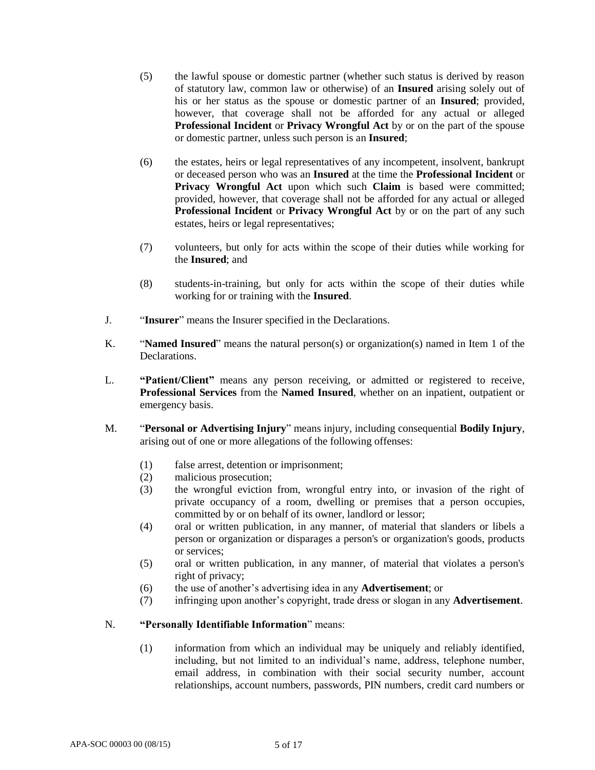- (5) the lawful spouse or domestic partner (whether such status is derived by reason of statutory law, common law or otherwise) of an **Insured** arising solely out of his or her status as the spouse or domestic partner of an **Insured**; provided, however, that coverage shall not be afforded for any actual or alleged **Professional Incident** or **Privacy Wrongful Act** by or on the part of the spouse or domestic partner, unless such person is an **Insured**;
- (6) the estates, heirs or legal representatives of any incompetent, insolvent, bankrupt or deceased person who was an **Insured** at the time the **Professional Incident** or **Privacy Wrongful Act** upon which such **Claim** is based were committed; provided, however, that coverage shall not be afforded for any actual or alleged **Professional Incident** or **Privacy Wrongful Act** by or on the part of any such estates, heirs or legal representatives;
- (7) volunteers, but only for acts within the scope of their duties while working for the **Insured**; and
- (8) students-in-training, but only for acts within the scope of their duties while working for or training with the **Insured**.
- J. "**Insurer**" means the Insurer specified in the Declarations.
- K. "**Named Insured**" means the natural person(s) or organization(s) named in Item 1 of the **Declarations**
- L. **"Patient/Client"** means any person receiving, or admitted or registered to receive, **Professional Services** from the **Named Insured**, whether on an inpatient, outpatient or emergency basis.
- M. "**Personal or Advertising Injury**" means injury, including consequential **Bodily Injury**, arising out of one or more allegations of the following offenses:
	- (1) false arrest, detention or imprisonment;
	- (2) malicious prosecution;
	- (3) the wrongful eviction from, wrongful entry into, or invasion of the right of private occupancy of a room, dwelling or premises that a person occupies, committed by or on behalf of its owner, landlord or lessor;
	- (4) oral or written publication, in any manner, of material that slanders or libels a person or organization or disparages a person's or organization's goods, products or services;
	- (5) oral or written publication, in any manner, of material that violates a person's right of privacy;
	- (6) the use of another's advertising idea in any **Advertisement**; or
	- (7) infringing upon another's copyright, trade dress or slogan in any **Advertisement**.

# N. **"Personally Identifiable Information**" means:

(1) information from which an individual may be uniquely and reliably identified, including, but not limited to an individual's name, address, telephone number, email address, in combination with their social security number, account relationships, account numbers, passwords, PIN numbers, credit card numbers or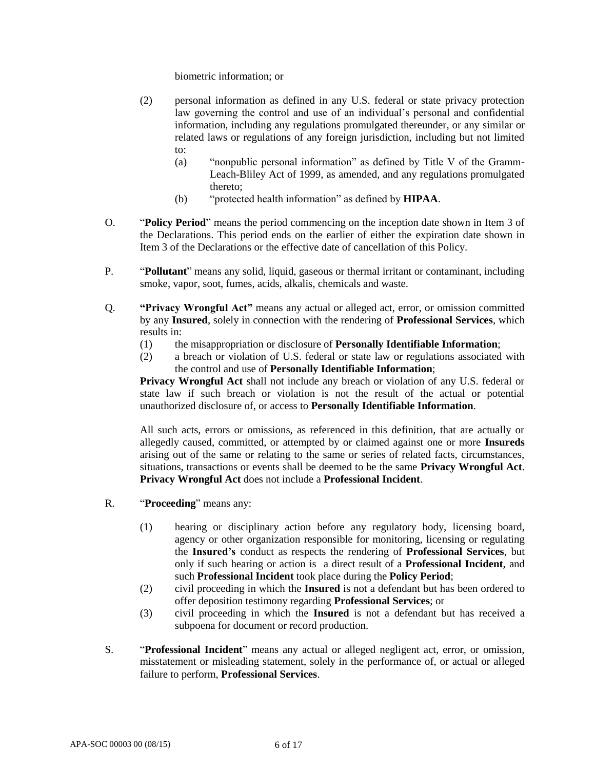biometric information; or

- (2) personal information as defined in any U.S. federal or state privacy protection law governing the control and use of an individual's personal and confidential information, including any regulations promulgated thereunder, or any similar or related laws or regulations of any foreign jurisdiction, including but not limited to:
	- (a) "nonpublic personal information" as defined by Title V of the Gramm-Leach-Bliley Act of 1999, as amended, and any regulations promulgated thereto;
	- (b) "protected health information" as defined by **HIPAA**.
- O. "**Policy Period**" means the period commencing on the inception date shown in Item 3 of the Declarations. This period ends on the earlier of either the expiration date shown in Item 3 of the Declarations or the effective date of cancellation of this Policy.
- P. "**Pollutant**" means any solid, liquid, gaseous or thermal irritant or contaminant, including smoke, vapor, soot, fumes, acids, alkalis, chemicals and waste.
- Q. **"Privacy Wrongful Act"** means any actual or alleged act, error, or omission committed by any **Insured**, solely in connection with the rendering of **Professional Services**, which results in:
	- (1) the misappropriation or disclosure of **Personally Identifiable Information**;
	- (2) a breach or violation of U.S. federal or state law or regulations associated with the control and use of **Personally Identifiable Information**;

**Privacy Wrongful Act** shall not include any breach or violation of any U.S. federal or state law if such breach or violation is not the result of the actual or potential unauthorized disclosure of, or access to **Personally Identifiable Information**.

All such acts, errors or omissions, as referenced in this definition, that are actually or allegedly caused, committed, or attempted by or claimed against one or more **Insureds** arising out of the same or relating to the same or series of related facts, circumstances, situations, transactions or events shall be deemed to be the same **Privacy Wrongful Act**. **Privacy Wrongful Act** does not include a **Professional Incident**.

- R. "**Proceeding**" means any:
	- (1) hearing or disciplinary action before any regulatory body, licensing board, agency or other organization responsible for monitoring, licensing or regulating the **Insured's** conduct as respects the rendering of **Professional Services**, but only if such hearing or action is a direct result of a **Professional Incident**, and such **Professional Incident** took place during the **Policy Period**;
	- (2) civil proceeding in which the **Insured** is not a defendant but has been ordered to offer deposition testimony regarding **Professional Services**; or
	- (3) civil proceeding in which the **Insured** is not a defendant but has received a subpoena for document or record production.
- S. "**Professional Incident**" means any actual or alleged negligent act, error, or omission, misstatement or misleading statement, solely in the performance of, or actual or alleged failure to perform, **Professional Services**.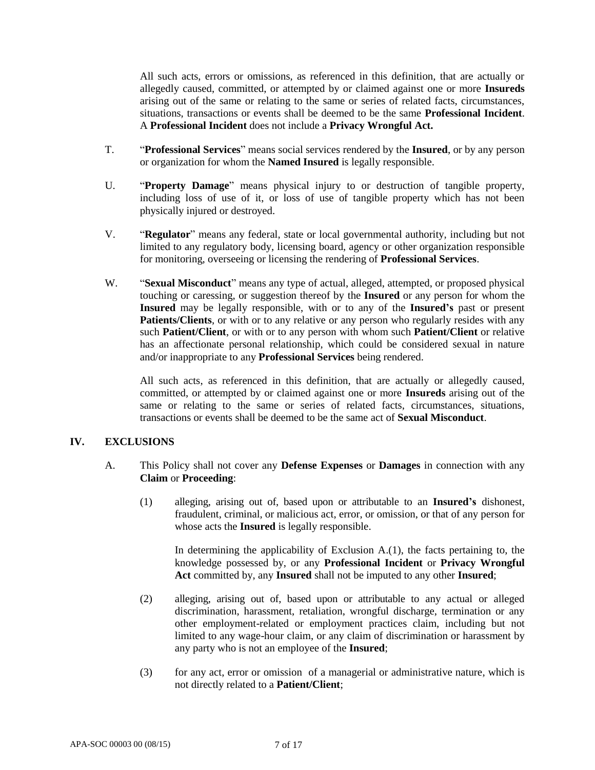All such acts, errors or omissions, as referenced in this definition, that are actually or allegedly caused, committed, or attempted by or claimed against one or more **Insureds** arising out of the same or relating to the same or series of related facts, circumstances, situations, transactions or events shall be deemed to be the same **Professional Incident**. A **Professional Incident** does not include a **Privacy Wrongful Act.**

- T. "**Professional Services**" means social services rendered by the **Insured**, or by any person or organization for whom the **Named Insured** is legally responsible.
- U. "**Property Damage**" means physical injury to or destruction of tangible property, including loss of use of it, or loss of use of tangible property which has not been physically injured or destroyed.
- V. "**Regulator**" means any federal, state or local governmental authority, including but not limited to any regulatory body, licensing board, agency or other organization responsible for monitoring, overseeing or licensing the rendering of **Professional Services**.
- W. "**Sexual Misconduct**" means any type of actual, alleged, attempted, or proposed physical touching or caressing, or suggestion thereof by the **Insured** or any person for whom the **Insured** may be legally responsible, with or to any of the **Insured's** past or present **Patients/Clients**, or with or to any relative or any person who regularly resides with any such **Patient/Client**, or with or to any person with whom such **Patient/Client** or relative has an affectionate personal relationship, which could be considered sexual in nature and/or inappropriate to any **Professional Services** being rendered.

All such acts, as referenced in this definition, that are actually or allegedly caused, committed, or attempted by or claimed against one or more **Insureds** arising out of the same or relating to the same or series of related facts, circumstances, situations, transactions or events shall be deemed to be the same act of **Sexual Misconduct**.

# **IV. EXCLUSIONS**

- A. This Policy shall not cover any **Defense Expenses** or **Damages** in connection with any **Claim** or **Proceeding**:
	- (1) alleging, arising out of, based upon or attributable to an **Insured's** dishonest, fraudulent, criminal, or malicious act, error, or omission, or that of any person for whose acts the **Insured** is legally responsible.

In determining the applicability of Exclusion A.(1), the facts pertaining to, the knowledge possessed by, or any **Professional Incident** or **Privacy Wrongful Act** committed by, any **Insured** shall not be imputed to any other **Insured**;

- (2) alleging, arising out of, based upon or attributable to any actual or alleged discrimination, harassment, retaliation, wrongful discharge, termination or any other employment-related or employment practices claim, including but not limited to any wage-hour claim, or any claim of discrimination or harassment by any party who is not an employee of the **Insured**;
- (3) for any act, error or omission of a managerial or administrative nature, which is not directly related to a **Patient/Client**;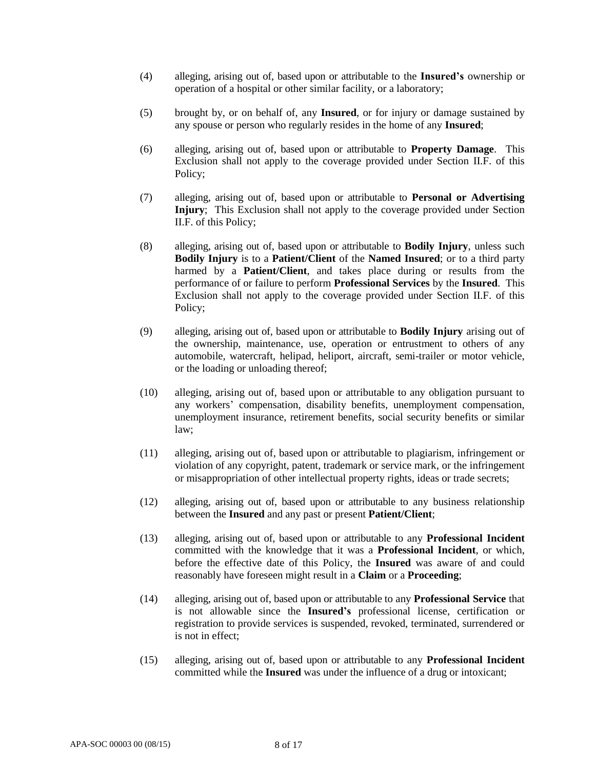- (4) alleging, arising out of, based upon or attributable to the **Insured's** ownership or operation of a hospital or other similar facility, or a laboratory;
- (5) brought by, or on behalf of, any **Insured**, or for injury or damage sustained by any spouse or person who regularly resides in the home of any **Insured**;
- (6) alleging, arising out of, based upon or attributable to **Property Damage**. This Exclusion shall not apply to the coverage provided under Section II.F. of this Policy;
- (7) alleging, arising out of, based upon or attributable to **Personal or Advertising Injury**; This Exclusion shall not apply to the coverage provided under Section II.F. of this Policy;
- (8) alleging, arising out of, based upon or attributable to **Bodily Injury**, unless such **Bodily Injury** is to a **Patient/Client** of the **Named Insured**; or to a third party harmed by a **Patient/Client**, and takes place during or results from the performance of or failure to perform **Professional Services** by the **Insured**. This Exclusion shall not apply to the coverage provided under Section II.F. of this Policy;
- (9) alleging, arising out of, based upon or attributable to **Bodily Injury** arising out of the ownership, maintenance, use, operation or entrustment to others of any automobile, watercraft, helipad, heliport, aircraft, semi-trailer or motor vehicle, or the loading or unloading thereof;
- (10) alleging, arising out of, based upon or attributable to any obligation pursuant to any workers' compensation, disability benefits, unemployment compensation, unemployment insurance, retirement benefits, social security benefits or similar law;
- (11) alleging, arising out of, based upon or attributable to plagiarism, infringement or violation of any copyright, patent, trademark or service mark, or the infringement or misappropriation of other intellectual property rights, ideas or trade secrets;
- (12) alleging, arising out of, based upon or attributable to any business relationship between the **Insured** and any past or present **Patient/Client**;
- (13) alleging, arising out of, based upon or attributable to any **Professional Incident** committed with the knowledge that it was a **Professional Incident**, or which, before the effective date of this Policy, the **Insured** was aware of and could reasonably have foreseen might result in a **Claim** or a **Proceeding**;
- (14) alleging, arising out of, based upon or attributable to any **Professional Service** that is not allowable since the **Insured's** professional license, certification or registration to provide services is suspended, revoked, terminated, surrendered or is not in effect;
- (15) alleging, arising out of, based upon or attributable to any **Professional Incident** committed while the **Insured** was under the influence of a drug or intoxicant;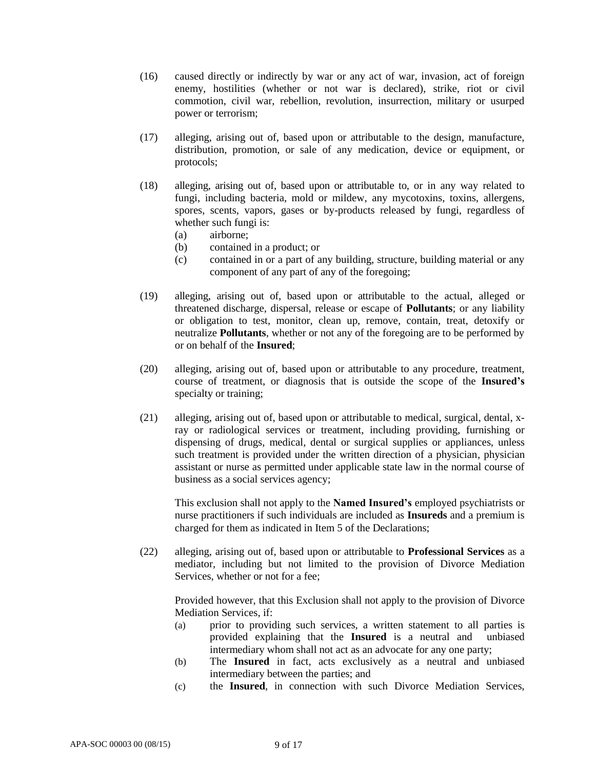- (16) caused directly or indirectly by war or any act of war, invasion, act of foreign enemy, hostilities (whether or not war is declared), strike, riot or civil commotion, civil war, rebellion, revolution, insurrection, military or usurped power or terrorism;
- (17) alleging, arising out of, based upon or attributable to the design, manufacture, distribution, promotion, or sale of any medication, device or equipment, or protocols;
- (18) alleging, arising out of, based upon or attributable to, or in any way related to fungi, including bacteria, mold or mildew, any mycotoxins, toxins, allergens, spores, scents, vapors, gases or by-products released by fungi, regardless of whether such fungi is:
	- (a) airborne;
	- (b) contained in a product; or
	- (c) contained in or a part of any building, structure, building material or any component of any part of any of the foregoing;
- (19) alleging, arising out of, based upon or attributable to the actual, alleged or threatened discharge, dispersal, release or escape of **Pollutants**; or any liability or obligation to test, monitor, clean up, remove, contain, treat, detoxify or neutralize **Pollutants**, whether or not any of the foregoing are to be performed by or on behalf of the **Insured**;
- (20) alleging, arising out of, based upon or attributable to any procedure, treatment, course of treatment, or diagnosis that is outside the scope of the **Insured's** specialty or training;
- (21) alleging, arising out of, based upon or attributable to medical, surgical, dental, xray or radiological services or treatment, including providing, furnishing or dispensing of drugs, medical, dental or surgical supplies or appliances, unless such treatment is provided under the written direction of a physician, physician assistant or nurse as permitted under applicable state law in the normal course of business as a social services agency;

This exclusion shall not apply to the **Named Insured's** employed psychiatrists or nurse practitioners if such individuals are included as **Insureds** and a premium is charged for them as indicated in Item 5 of the Declarations;

(22) alleging, arising out of, based upon or attributable to **Professional Services** as a mediator, including but not limited to the provision of Divorce Mediation Services, whether or not for a fee;

Provided however, that this Exclusion shall not apply to the provision of Divorce Mediation Services, if:

- (a) prior to providing such services, a written statement to all parties is provided explaining that the **Insured** is a neutral and unbiased intermediary whom shall not act as an advocate for any one party;
- (b) The **Insured** in fact, acts exclusively as a neutral and unbiased intermediary between the parties; and
- (c) the **Insured**, in connection with such Divorce Mediation Services,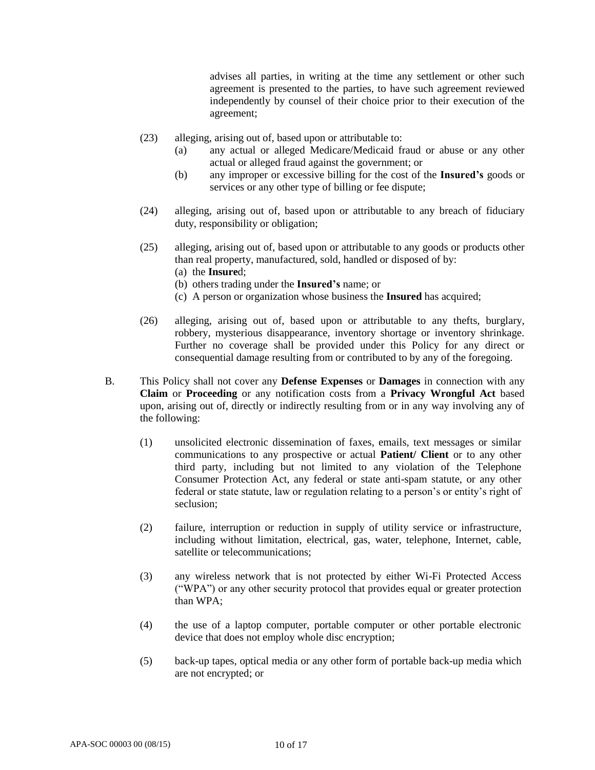advises all parties, in writing at the time any settlement or other such agreement is presented to the parties, to have such agreement reviewed independently by counsel of their choice prior to their execution of the agreement;

- (23) alleging, arising out of, based upon or attributable to:
	- (a) any actual or alleged Medicare/Medicaid fraud or abuse or any other actual or alleged fraud against the government; or
	- (b) any improper or excessive billing for the cost of the **Insured's** goods or services or any other type of billing or fee dispute;
- (24) alleging, arising out of, based upon or attributable to any breach of fiduciary duty, responsibility or obligation;
- (25) alleging, arising out of, based upon or attributable to any goods or products other than real property, manufactured, sold, handled or disposed of by:
	- (a) the **Insure**d;
	- (b) others trading under the **Insured's** name; or
	- (c) A person or organization whose business the **Insured** has acquired;
- (26) alleging, arising out of, based upon or attributable to any thefts, burglary, robbery, mysterious disappearance, inventory shortage or inventory shrinkage. Further no coverage shall be provided under this Policy for any direct or consequential damage resulting from or contributed to by any of the foregoing.
- B. This Policy shall not cover any **Defense Expenses** or **Damages** in connection with any **Claim** or **Proceeding** or any notification costs from a **Privacy Wrongful Act** based upon, arising out of, directly or indirectly resulting from or in any way involving any of the following:
	- (1) unsolicited electronic dissemination of faxes, emails, text messages or similar communications to any prospective or actual **Patient/ Client** or to any other third party, including but not limited to any violation of the Telephone Consumer Protection Act, any federal or state anti-spam statute, or any other federal or state statute, law or regulation relating to a person's or entity's right of seclusion;
	- (2) failure, interruption or reduction in supply of utility service or infrastructure, including without limitation, electrical, gas, water, telephone, Internet, cable, satellite or telecommunications:
	- (3) any wireless network that is not protected by either Wi-Fi Protected Access ("WPA") or any other security protocol that provides equal or greater protection than WPA;
	- (4) the use of a laptop computer, portable computer or other portable electronic device that does not employ whole disc encryption;
	- (5) back-up tapes, optical media or any other form of portable back-up media which are not encrypted; or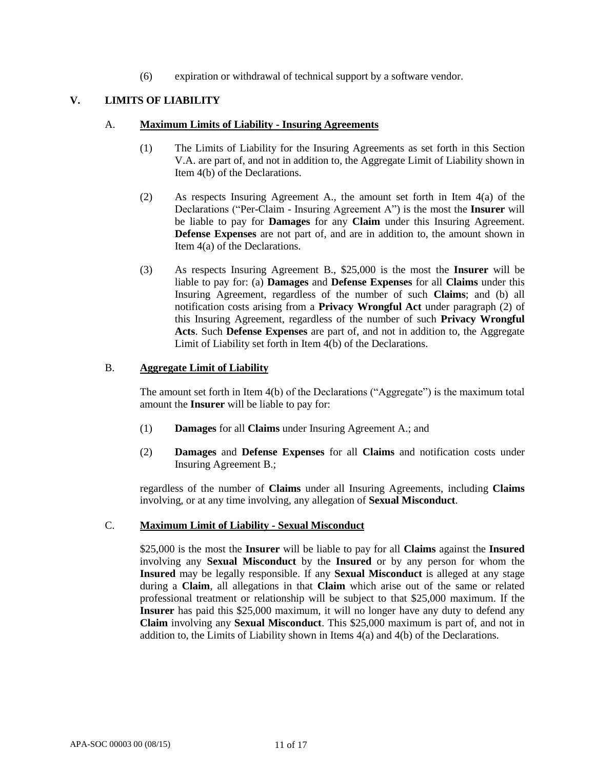(6) expiration or withdrawal of technical support by a software vendor.

# **V. LIMITS OF LIABILITY**

#### A. **Maximum Limits of Liability - Insuring Agreements**

- (1) The Limits of Liability for the Insuring Agreements as set forth in this Section V.A. are part of, and not in addition to, the Aggregate Limit of Liability shown in Item 4(b) of the Declarations.
- (2) As respects Insuring Agreement A., the amount set forth in Item 4(a) of the Declarations ("Per-Claim - Insuring Agreement A") is the most the **Insurer** will be liable to pay for **Damages** for any **Claim** under this Insuring Agreement. **Defense Expenses** are not part of, and are in addition to, the amount shown in Item 4(a) of the Declarations.
- (3) As respects Insuring Agreement B., \$25,000 is the most the **Insurer** will be liable to pay for: (a) **Damages** and **Defense Expenses** for all **Claims** under this Insuring Agreement, regardless of the number of such **Claims**; and (b) all notification costs arising from a **Privacy Wrongful Act** under paragraph (2) of this Insuring Agreement, regardless of the number of such **Privacy Wrongful Acts**. Such **Defense Expenses** are part of, and not in addition to, the Aggregate Limit of Liability set forth in Item 4(b) of the Declarations.

#### B. **Aggregate Limit of Liability**

The amount set forth in Item 4(b) of the Declarations ("Aggregate") is the maximum total amount the **Insurer** will be liable to pay for:

- (1) **Damages** for all **Claims** under Insuring Agreement A.; and
- (2) **Damages** and **Defense Expenses** for all **Claims** and notification costs under Insuring Agreement B.;

regardless of the number of **Claims** under all Insuring Agreements, including **Claims**  involving, or at any time involving, any allegation of **Sexual Misconduct**.

#### C. **Maximum Limit of Liability - Sexual Misconduct**

\$25,000 is the most the **Insurer** will be liable to pay for all **Claims** against the **Insured**  involving any **Sexual Misconduct** by the **Insured** or by any person for whom the **Insured** may be legally responsible. If any **Sexual Misconduct** is alleged at any stage during a **Claim**, all allegations in that **Claim** which arise out of the same or related professional treatment or relationship will be subject to that \$25,000 maximum. If the **Insurer** has paid this \$25,000 maximum, it will no longer have any duty to defend any **Claim** involving any **Sexual Misconduct**. This \$25,000 maximum is part of, and not in addition to, the Limits of Liability shown in Items 4(a) and 4(b) of the Declarations.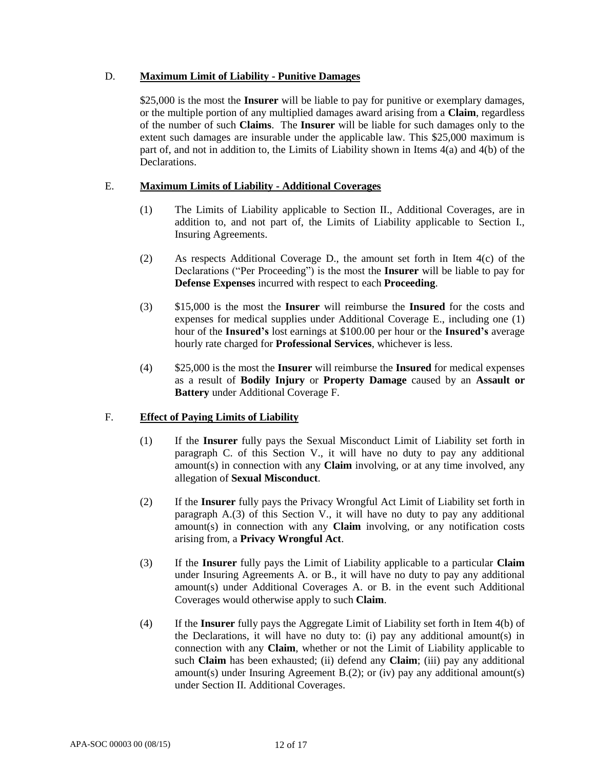# D. **Maximum Limit of Liability - Punitive Damages**

\$25,000 is the most the **Insurer** will be liable to pay for punitive or exemplary damages, or the multiple portion of any multiplied damages award arising from a **Claim**, regardless of the number of such **Claims**. The **Insurer** will be liable for such damages only to the extent such damages are insurable under the applicable law. This \$25,000 maximum is part of, and not in addition to, the Limits of Liability shown in Items 4(a) and 4(b) of the Declarations.

# E. **Maximum Limits of Liability - Additional Coverages**

- (1) The Limits of Liability applicable to Section II., Additional Coverages, are in addition to, and not part of, the Limits of Liability applicable to Section I., Insuring Agreements.
- (2) As respects Additional Coverage D., the amount set forth in Item 4(c) of the Declarations ("Per Proceeding") is the most the **Insurer** will be liable to pay for **Defense Expenses** incurred with respect to each **Proceeding**.
- (3) \$15,000 is the most the **Insurer** will reimburse the **Insured** for the costs and expenses for medical supplies under Additional Coverage E., including one (1) hour of the **Insured's** lost earnings at \$100.00 per hour or the **Insured's** average hourly rate charged for **Professional Services**, whichever is less.
- (4) \$25,000 is the most the **Insurer** will reimburse the **Insured** for medical expenses as a result of **Bodily Injury** or **Property Damage** caused by an **Assault or Battery** under Additional Coverage F.

# F. **Effect of Paying Limits of Liability**

- (1) If the **Insurer** fully pays the Sexual Misconduct Limit of Liability set forth in paragraph C. of this Section V., it will have no duty to pay any additional amount(s) in connection with any **Claim** involving, or at any time involved, any allegation of **Sexual Misconduct**.
- (2) If the **Insurer** fully pays the Privacy Wrongful Act Limit of Liability set forth in paragraph A.(3) of this Section V., it will have no duty to pay any additional amount(s) in connection with any **Claim** involving, or any notification costs arising from, a **Privacy Wrongful Act**.
- (3) If the **Insurer** fully pays the Limit of Liability applicable to a particular **Claim** under Insuring Agreements A. or B., it will have no duty to pay any additional amount(s) under Additional Coverages A. or B. in the event such Additional Coverages would otherwise apply to such **Claim**.
- (4) If the **Insurer** fully pays the Aggregate Limit of Liability set forth in Item 4(b) of the Declarations, it will have no duty to: (i) pay any additional amount(s) in connection with any **Claim**, whether or not the Limit of Liability applicable to such **Claim** has been exhausted; (ii) defend any **Claim**; (iii) pay any additional amount(s) under Insuring Agreement B.(2); or (iv) pay any additional amount(s) under Section II. Additional Coverages.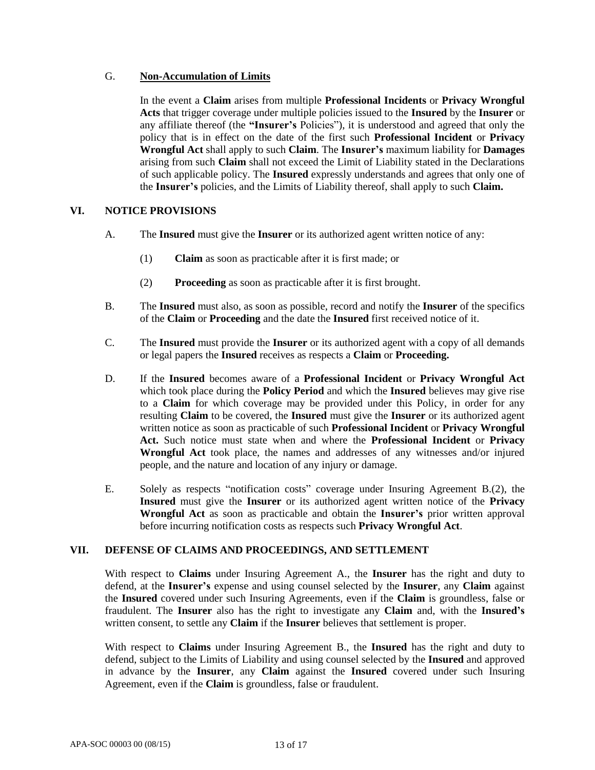# G. **Non-Accumulation of Limits**

In the event a **Claim** arises from multiple **Professional Incidents** or **Privacy Wrongful Acts** that trigger coverage under multiple policies issued to the **Insured** by the **Insurer** or any affiliate thereof (the **"Insurer's** Policies"), it is understood and agreed that only the policy that is in effect on the date of the first such **Professional Incident** or **Privacy Wrongful Act** shall apply to such **Claim**. The **Insurer's** maximum liability for **Damages** arising from such **Claim** shall not exceed the Limit of Liability stated in the Declarations of such applicable policy. The **Insured** expressly understands and agrees that only one of the **Insurer's** policies, and the Limits of Liability thereof, shall apply to such **Claim.**

# **VI. NOTICE PROVISIONS**

- A. The **Insured** must give the **Insurer** or its authorized agent written notice of any:
	- (1) **Claim** as soon as practicable after it is first made; or
	- (2) **Proceeding** as soon as practicable after it is first brought.
- B. The **Insured** must also, as soon as possible, record and notify the **Insurer** of the specifics of the **Claim** or **Proceeding** and the date the **Insured** first received notice of it.
- C. The **Insured** must provide the **Insurer** or its authorized agent with a copy of all demands or legal papers the **Insured** receives as respects a **Claim** or **Proceeding.**
- D. If the **Insured** becomes aware of a **Professional Incident** or **Privacy Wrongful Act** which took place during the **Policy Period** and which the **Insured** believes may give rise to a **Claim** for which coverage may be provided under this Policy, in order for any resulting **Claim** to be covered, the **Insured** must give the **Insurer** or its authorized agent written notice as soon as practicable of such **Professional Incident** or **Privacy Wrongful Act.** Such notice must state when and where the **Professional Incident** or **Privacy Wrongful Act** took place, the names and addresses of any witnesses and/or injured people, and the nature and location of any injury or damage.
- E. Solely as respects "notification costs" coverage under Insuring Agreement B.(2), the **Insured** must give the **Insurer** or its authorized agent written notice of the **Privacy Wrongful Act** as soon as practicable and obtain the **Insurer's** prior written approval before incurring notification costs as respects such **Privacy Wrongful Act**.

# **VII. DEFENSE OF CLAIMS AND PROCEEDINGS, AND SETTLEMENT**

With respect to **Claims** under Insuring Agreement A., the **Insurer** has the right and duty to defend, at the **Insurer's** expense and using counsel selected by the **Insurer**, any **Claim** against the **Insured** covered under such Insuring Agreements, even if the **Claim** is groundless, false or fraudulent. The **Insurer** also has the right to investigate any **Claim** and, with the **Insured's** written consent, to settle any **Claim** if the **Insurer** believes that settlement is proper.

With respect to **Claims** under Insuring Agreement B., the **Insured** has the right and duty to defend, subject to the Limits of Liability and using counsel selected by the **Insured** and approved in advance by the **Insurer**, any **Claim** against the **Insured** covered under such Insuring Agreement, even if the **Claim** is groundless, false or fraudulent.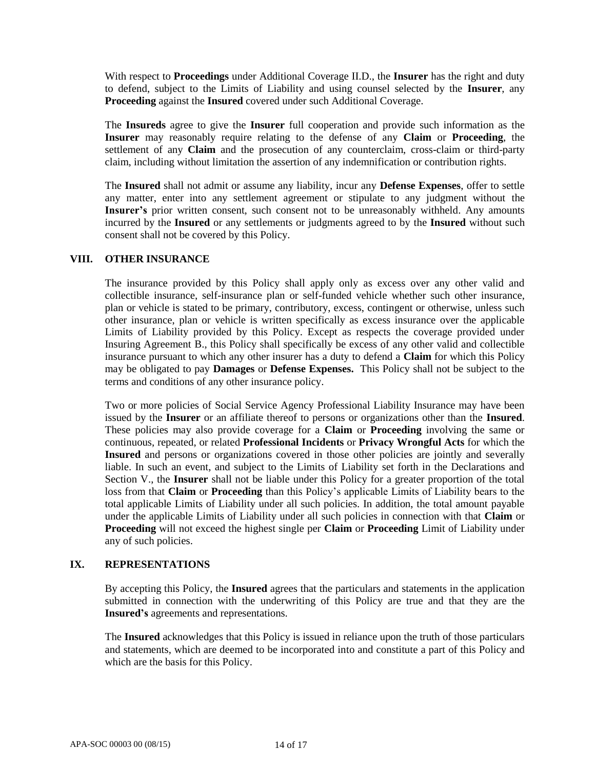With respect to **Proceedings** under Additional Coverage II.D., the **Insurer** has the right and duty to defend, subject to the Limits of Liability and using counsel selected by the **Insurer**, any **Proceeding** against the **Insured** covered under such Additional Coverage.

The **Insureds** agree to give the **Insurer** full cooperation and provide such information as the **Insurer** may reasonably require relating to the defense of any **Claim** or **Proceeding**, the settlement of any **Claim** and the prosecution of any counterclaim, cross-claim or third-party claim, including without limitation the assertion of any indemnification or contribution rights.

The **Insured** shall not admit or assume any liability, incur any **Defense Expenses**, offer to settle any matter, enter into any settlement agreement or stipulate to any judgment without the **Insurer's** prior written consent, such consent not to be unreasonably withheld. Any amounts incurred by the **Insured** or any settlements or judgments agreed to by the **Insured** without such consent shall not be covered by this Policy.

#### **VIII. OTHER INSURANCE**

The insurance provided by this Policy shall apply only as excess over any other valid and collectible insurance, self-insurance plan or self-funded vehicle whether such other insurance, plan or vehicle is stated to be primary, contributory, excess, contingent or otherwise, unless such other insurance, plan or vehicle is written specifically as excess insurance over the applicable Limits of Liability provided by this Policy. Except as respects the coverage provided under Insuring Agreement B., this Policy shall specifically be excess of any other valid and collectible insurance pursuant to which any other insurer has a duty to defend a **Claim** for which this Policy may be obligated to pay **Damages** or **Defense Expenses.** This Policy shall not be subject to the terms and conditions of any other insurance policy.

Two or more policies of Social Service Agency Professional Liability Insurance may have been issued by the **Insurer** or an affiliate thereof to persons or organizations other than the **Insured**. These policies may also provide coverage for a **Claim** or **Proceeding** involving the same or continuous, repeated, or related **Professional Incidents** or **Privacy Wrongful Acts** for which the **Insured** and persons or organizations covered in those other policies are jointly and severally liable. In such an event, and subject to the Limits of Liability set forth in the Declarations and Section V., the **Insurer** shall not be liable under this Policy for a greater proportion of the total loss from that **Claim** or **Proceeding** than this Policy's applicable Limits of Liability bears to the total applicable Limits of Liability under all such policies. In addition, the total amount payable under the applicable Limits of Liability under all such policies in connection with that **Claim** or **Proceeding** will not exceed the highest single per **Claim** or **Proceeding** Limit of Liability under any of such policies.

#### **IX. REPRESENTATIONS**

By accepting this Policy, the **Insured** agrees that the particulars and statements in the application submitted in connection with the underwriting of this Policy are true and that they are the **Insured's** agreements and representations.

The **Insured** acknowledges that this Policy is issued in reliance upon the truth of those particulars and statements, which are deemed to be incorporated into and constitute a part of this Policy and which are the basis for this Policy.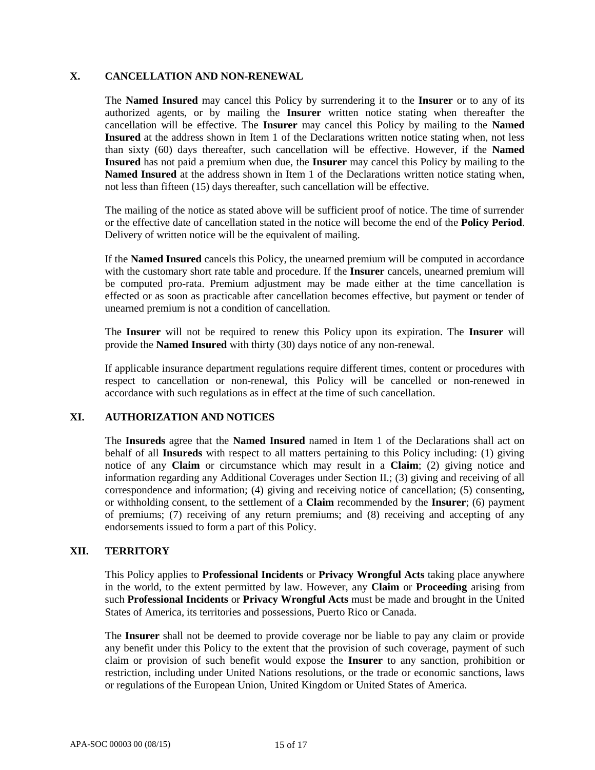# **X. CANCELLATION AND NON-RENEWAL**

The **Named Insured** may cancel this Policy by surrendering it to the **Insurer** or to any of its authorized agents, or by mailing the **Insurer** written notice stating when thereafter the cancellation will be effective. The **Insurer** may cancel this Policy by mailing to the **Named Insured** at the address shown in Item 1 of the Declarations written notice stating when, not less than sixty (60) days thereafter, such cancellation will be effective. However, if the **Named Insured** has not paid a premium when due, the **Insurer** may cancel this Policy by mailing to the **Named Insured** at the address shown in Item 1 of the Declarations written notice stating when, not less than fifteen (15) days thereafter, such cancellation will be effective.

The mailing of the notice as stated above will be sufficient proof of notice. The time of surrender or the effective date of cancellation stated in the notice will become the end of the **Policy Period**. Delivery of written notice will be the equivalent of mailing.

If the **Named Insured** cancels this Policy, the unearned premium will be computed in accordance with the customary short rate table and procedure. If the **Insurer** cancels, unearned premium will be computed pro-rata. Premium adjustment may be made either at the time cancellation is effected or as soon as practicable after cancellation becomes effective, but payment or tender of unearned premium is not a condition of cancellation.

The **Insurer** will not be required to renew this Policy upon its expiration. The **Insurer** will provide the **Named Insured** with thirty (30) days notice of any non-renewal.

If applicable insurance department regulations require different times, content or procedures with respect to cancellation or non-renewal, this Policy will be cancelled or non-renewed in accordance with such regulations as in effect at the time of such cancellation.

# **XI. AUTHORIZATION AND NOTICES**

The **Insureds** agree that the **Named Insured** named in Item 1 of the Declarations shall act on behalf of all **Insureds** with respect to all matters pertaining to this Policy including: (1) giving notice of any **Claim** or circumstance which may result in a **Claim**; (2) giving notice and information regarding any Additional Coverages under Section II.; (3) giving and receiving of all correspondence and information; (4) giving and receiving notice of cancellation; (5) consenting, or withholding consent, to the settlement of a **Claim** recommended by the **Insurer**; (6) payment of premiums; (7) receiving of any return premiums; and (8) receiving and accepting of any endorsements issued to form a part of this Policy.

# **XII. TERRITORY**

This Policy applies to **Professional Incidents** or **Privacy Wrongful Acts** taking place anywhere in the world, to the extent permitted by law. However, any **Claim** or **Proceeding** arising from such **Professional Incidents** or **Privacy Wrongful Acts** must be made and brought in the United States of America, its territories and possessions, Puerto Rico or Canada.

The **Insurer** shall not be deemed to provide coverage nor be liable to pay any claim or provide any benefit under this Policy to the extent that the provision of such coverage, payment of such claim or provision of such benefit would expose the **Insurer** to any sanction, prohibition or restriction, including under United Nations resolutions, or the trade or economic sanctions, laws or regulations of the European Union, United Kingdom or United States of America.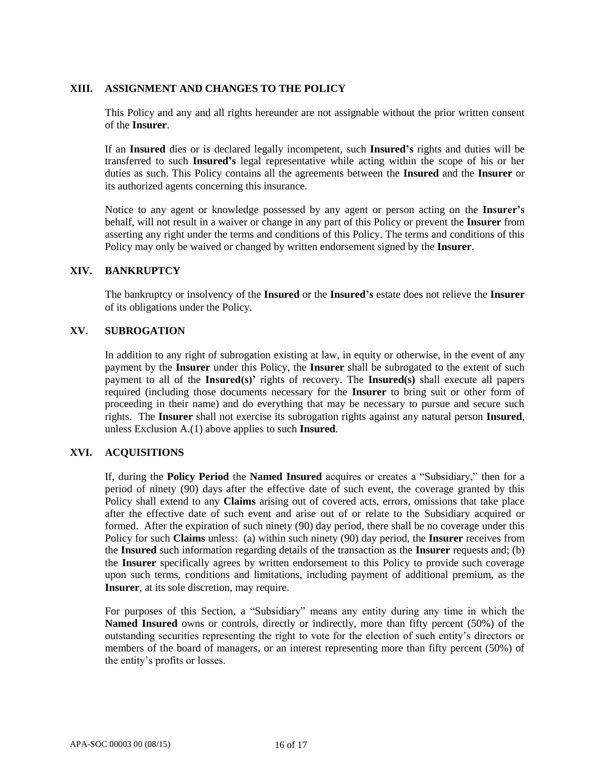# **XIII. ASSIGNMENT AND CHANGES TO THE POLICY**

This Policy and any and all rights hereunder are not assignable without the prior written consent of the **Insurer**.

If an **Insured** dies or is declared legally incompetent, such **Insured's** rights and duties will be transferred to such **Insured's** legal representative while acting within the scope of his or her duties as such. This Policy contains all the agreements between the **Insured** and the **Insurer** or its authorized agents concerning this insurance.

Notice to any agent or knowledge possessed by any agent or person acting on the **Insurer's**  behalf, will not result in a waiver or change in any part of this Policy or prevent the **Insurer** from asserting any right under the terms and conditions of this Policy. The terms and conditions of this Policy may only be waived or changed by written endorsement signed by the **Insurer**.

#### **XIV. BANKRUPTCY**

The bankruptcy or insolvency of the **Insured** or the **Insured's** estate does not relieve the **Insurer**  of its obligations under the Policy.

#### **XV. SUBROGATION**

In addition to any right of subrogation existing at law, in equity or otherwise, in the event of any payment by the **Insurer** under this Policy, the **Insurer** shall be subrogated to the extent of such payment to all of the **Insured(s)'** rights of recovery. The **Insured(s)** shall execute all papers required (including those documents necessary for the **Insurer** to bring suit or other form of proceeding in their name) and do everything that may be necessary to pursue and secure such rights. The **Insurer** shall not exercise its subrogation rights against any natural person **Insured**, unless Exclusion A.(1) above applies to such **Insured**.

#### **XVI. ACQUISITIONS**

If, during the **Policy Period** the **Named Insured** acquires or creates a "Subsidiary," then for a period of ninety (90) days after the effective date of such event, the coverage granted by this Policy shall extend to any **Claims** arising out of covered acts, errors, omissions that take place after the effective date of such event and arise out of or relate to the Subsidiary acquired or formed. After the expiration of such ninety (90) day period, there shall be no coverage under this Policy for such **Claims** unless: (a) within such ninety (90) day period, the **Insurer** receives from the **Insured** such information regarding details of the transaction as the **Insurer** requests and; (b) the **Insurer** specifically agrees by written endorsement to this Policy to provide such coverage upon such terms, conditions and limitations, including payment of additional premium, as the **Insurer**, at its sole discretion, may require.

For purposes of this Section, a "Subsidiary" means any entity during any time in which the **Named Insured** owns or controls, directly or indirectly, more than fifty percent (50%) of the outstanding securities representing the right to vote for the election of such entity's directors or members of the board of managers, or an interest representing more than fifty percent (50%) of the entity's profits or losses.